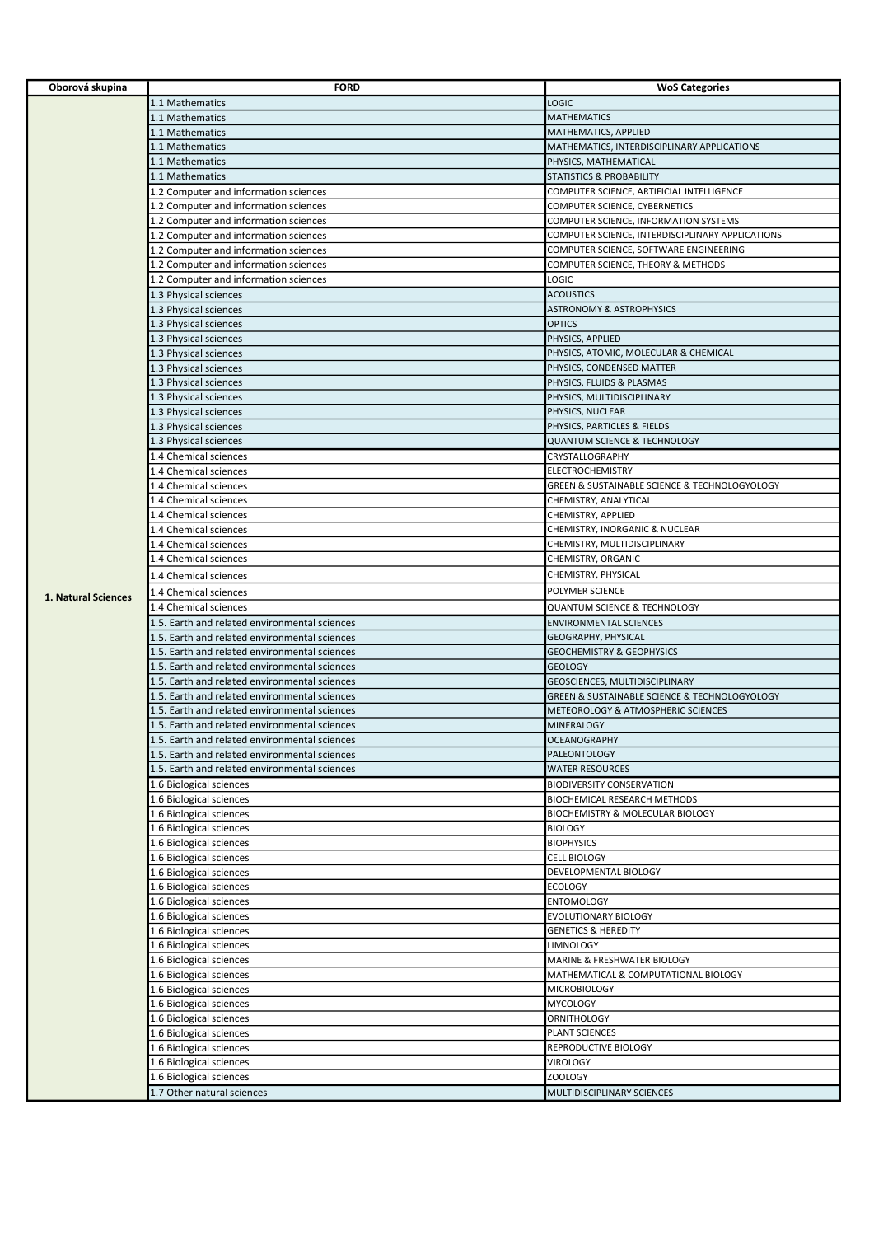| Oborová skupina     | <b>FORD</b>                                   | <b>WoS Categories</b>                                        |
|---------------------|-----------------------------------------------|--------------------------------------------------------------|
|                     | 1.1 Mathematics                               | <b>LOGIC</b>                                                 |
|                     | 1.1 Mathematics                               | <b>MATHEMATICS</b>                                           |
|                     | 1.1 Mathematics                               | MATHEMATICS, APPLIED                                         |
|                     | 1.1 Mathematics                               | MATHEMATICS, INTERDISCIPLINARY APPLICATIONS                  |
|                     | 1.1 Mathematics                               | PHYSICS, MATHEMATICAL                                        |
|                     | 1.1 Mathematics                               | STATISTICS & PROBABILITY                                     |
|                     | 1.2 Computer and information sciences         | COMPUTER SCIENCE, ARTIFICIAL INTELLIGENCE                    |
|                     | 1.2 Computer and information sciences         | COMPUTER SCIENCE, CYBERNETICS                                |
|                     | 1.2 Computer and information sciences         | COMPUTER SCIENCE, INFORMATION SYSTEMS                        |
|                     | 1.2 Computer and information sciences         | COMPUTER SCIENCE, INTERDISCIPLINARY APPLICATIONS             |
|                     | 1.2 Computer and information sciences         | COMPUTER SCIENCE, SOFTWARE ENGINEERING                       |
|                     | 1.2 Computer and information sciences         | COMPUTER SCIENCE, THEORY & METHODS                           |
|                     | 1.2 Computer and information sciences         | LOGIC                                                        |
|                     | 1.3 Physical sciences                         | <b>ACOUSTICS</b>                                             |
|                     | 1.3 Physical sciences                         | <b>ASTRONOMY &amp; ASTROPHYSICS</b>                          |
|                     | 1.3 Physical sciences                         | <b>OPTICS</b>                                                |
|                     | 1.3 Physical sciences                         | PHYSICS, APPLIED                                             |
|                     | 1.3 Physical sciences                         | PHYSICS, ATOMIC, MOLECULAR & CHEMICAL                        |
|                     | 1.3 Physical sciences                         | PHYSICS, CONDENSED MATTER                                    |
|                     | 1.3 Physical sciences                         | PHYSICS, FLUIDS & PLASMAS                                    |
|                     | 1.3 Physical sciences                         | PHYSICS, MULTIDISCIPLINARY                                   |
|                     | 1.3 Physical sciences                         | PHYSICS, NUCLEAR                                             |
|                     | 1.3 Physical sciences                         | PHYSICS, PARTICLES & FIELDS                                  |
|                     | 1.3 Physical sciences                         | <b>QUANTUM SCIENCE &amp; TECHNOLOGY</b>                      |
|                     | 1.4 Chemical sciences                         | CRYSTALLOGRAPHY                                              |
|                     | 1.4 Chemical sciences                         | <b>ELECTROCHEMISTRY</b>                                      |
|                     | 1.4 Chemical sciences                         | <b>GREEN &amp; SUSTAINABLE SCIENCE &amp; TECHNOLOGYOLOGY</b> |
|                     | 1.4 Chemical sciences                         | CHEMISTRY, ANALYTICAL                                        |
|                     | 1.4 Chemical sciences                         | CHEMISTRY, APPLIED                                           |
|                     | 1.4 Chemical sciences                         | CHEMISTRY, INORGANIC & NUCLEAR                               |
|                     | 1.4 Chemical sciences                         | CHEMISTRY, MULTIDISCIPLINARY                                 |
|                     | 1.4 Chemical sciences                         | CHEMISTRY, ORGANIC                                           |
|                     | 1.4 Chemical sciences                         | CHEMISTRY, PHYSICAL                                          |
|                     | 1.4 Chemical sciences                         | POLYMER SCIENCE                                              |
| 1. Natural Sciences | 1.4 Chemical sciences                         | <b>QUANTUM SCIENCE &amp; TECHNOLOGY</b>                      |
|                     | 1.5. Earth and related environmental sciences | <b>ENVIRONMENTAL SCIENCES</b>                                |
|                     | 1.5. Earth and related environmental sciences | <b>GEOGRAPHY, PHYSICAL</b>                                   |
|                     | 1.5. Earth and related environmental sciences | <b>GEOCHEMISTRY &amp; GEOPHYSICS</b>                         |
|                     | 1.5. Earth and related environmental sciences | <b>GEOLOGY</b>                                               |
|                     | 1.5. Earth and related environmental sciences | GEOSCIENCES, MULTIDISCIPLINARY                               |
|                     | 1.5. Earth and related environmental sciences | GREEN & SUSTAINABLE SCIENCE & TECHNOLOGYOLOGY                |
|                     | 1.5. Earth and related environmental sciences | METEOROLOGY & ATMOSPHERIC SCIENCES                           |
|                     | 1.5. Earth and related environmental sciences | <b>MINERALOGY</b>                                            |
|                     | 1.5. Earth and related environmental sciences | <b>OCEANOGRAPHY</b>                                          |
|                     | 1.5. Earth and related environmental sciences | PALEONTOLOGY                                                 |
|                     | 1.5. Earth and related environmental sciences | <b>WATER RESOURCES</b>                                       |
|                     | 1.6 Biological sciences                       | <b>BIODIVERSITY CONSERVATION</b>                             |
|                     | 1.6 Biological sciences                       | BIOCHEMICAL RESEARCH METHODS                                 |
|                     | 1.6 Biological sciences                       | BIOCHEMISTRY & MOLECULAR BIOLOGY                             |
|                     | 1.6 Biological sciences                       | <b>BIOLOGY</b>                                               |
|                     | 1.6 Biological sciences                       | <b>BIOPHYSICS</b>                                            |
|                     | 1.6 Biological sciences                       | <b>CELL BIOLOGY</b>                                          |
|                     | 1.6 Biological sciences                       | DEVELOPMENTAL BIOLOGY                                        |
|                     | 1.6 Biological sciences                       | <b>ECOLOGY</b>                                               |
|                     | 1.6 Biological sciences                       | <b>ENTOMOLOGY</b>                                            |
|                     | 1.6 Biological sciences                       | EVOLUTIONARY BIOLOGY                                         |
|                     | 1.6 Biological sciences                       | <b>GENETICS &amp; HEREDITY</b>                               |
|                     | 1.6 Biological sciences                       | LIMNOLOGY                                                    |
|                     | 1.6 Biological sciences                       | MARINE & FRESHWATER BIOLOGY                                  |
|                     | 1.6 Biological sciences                       | MATHEMATICAL & COMPUTATIONAL BIOLOGY                         |
|                     | 1.6 Biological sciences                       | <b>MICROBIOLOGY</b>                                          |
|                     | 1.6 Biological sciences                       | <b>MYCOLOGY</b>                                              |
|                     | 1.6 Biological sciences                       | ORNITHOLOGY                                                  |
|                     | 1.6 Biological sciences                       | PLANT SCIENCES                                               |
|                     | 1.6 Biological sciences                       | REPRODUCTIVE BIOLOGY                                         |
|                     | 1.6 Biological sciences                       | VIROLOGY                                                     |
|                     | 1.6 Biological sciences                       | ZOOLOGY                                                      |
|                     | 1.7 Other natural sciences                    | MULTIDISCIPLINARY SCIENCES                                   |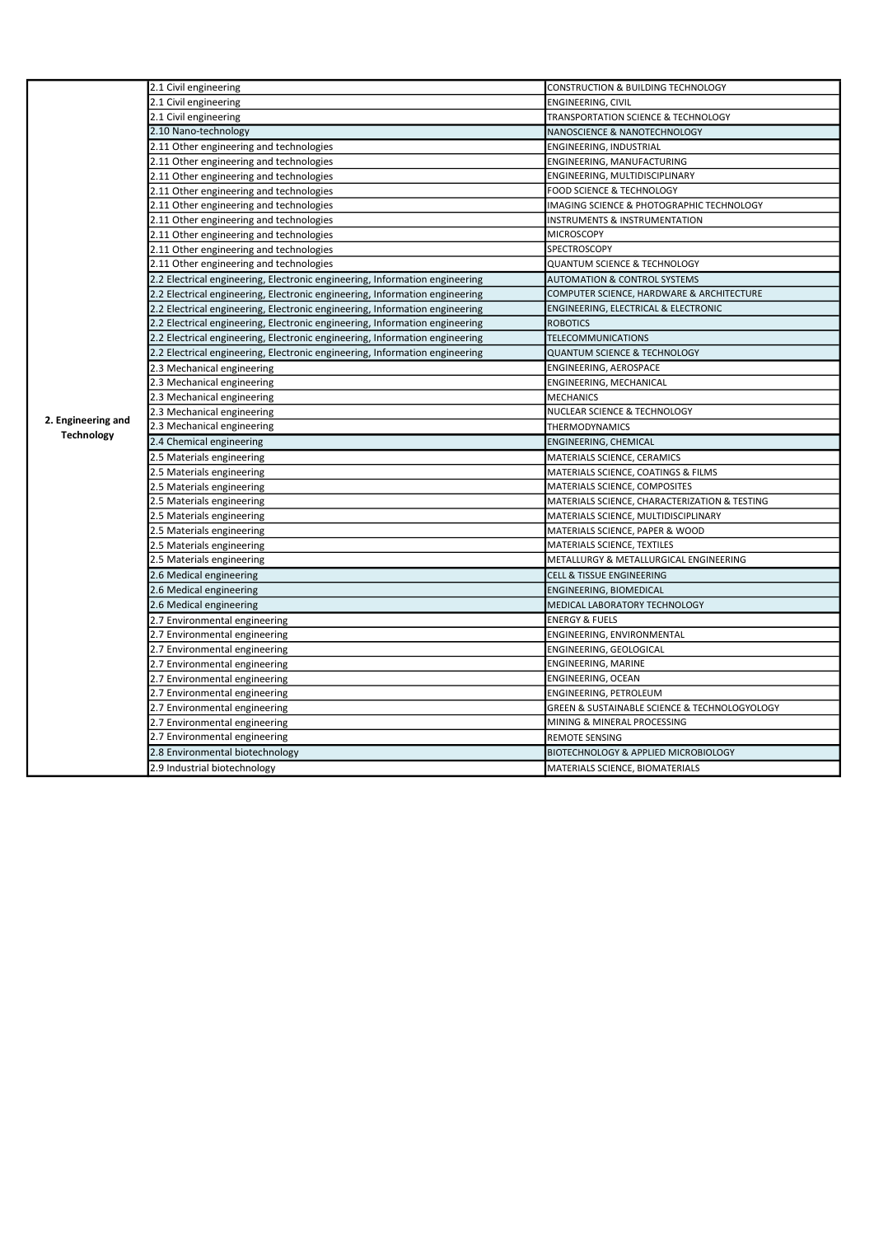|                    | 2.1 Civil engineering                                                       | CONSTRUCTION & BUILDING TECHNOLOGY              |
|--------------------|-----------------------------------------------------------------------------|-------------------------------------------------|
|                    | 2.1 Civil engineering                                                       | ENGINEERING, CIVIL                              |
|                    | 2.1 Civil engineering                                                       | <b>TRANSPORTATION SCIENCE &amp; TECHNOLOGY</b>  |
|                    | 2.10 Nano-technology                                                        | NANOSCIENCE & NANOTECHNOLOGY                    |
|                    | 2.11 Other engineering and technologies                                     | ENGINEERING, INDUSTRIAL                         |
|                    | 2.11 Other engineering and technologies                                     | ENGINEERING, MANUFACTURING                      |
|                    | 2.11 Other engineering and technologies                                     | ENGINEERING, MULTIDISCIPLINARY                  |
|                    | 2.11 Other engineering and technologies                                     | FOOD SCIENCE & TECHNOLOGY                       |
|                    | 2.11 Other engineering and technologies                                     | IMAGING SCIENCE & PHOTOGRAPHIC TECHNOLOGY       |
|                    | 2.11 Other engineering and technologies                                     | INSTRUMENTS & INSTRUMENTATION                   |
|                    | 2.11 Other engineering and technologies                                     | <b>MICROSCOPY</b>                               |
|                    | 2.11 Other engineering and technologies                                     | SPECTROSCOPY                                    |
|                    | 2.11 Other engineering and technologies                                     | <b>QUANTUM SCIENCE &amp; TECHNOLOGY</b>         |
|                    | 2.2 Electrical engineering, Electronic engineering, Information engineering | <b>AUTOMATION &amp; CONTROL SYSTEMS</b>         |
|                    | 2.2 Electrical engineering, Electronic engineering, Information engineering | COMPUTER SCIENCE, HARDWARE & ARCHITECTURE       |
|                    | 2.2 Electrical engineering, Electronic engineering, Information engineering | ENGINEERING, ELECTRICAL & ELECTRONIC            |
|                    | 2.2 Electrical engineering, Electronic engineering, Information engineering | <b>ROBOTICS</b>                                 |
|                    | 2.2 Electrical engineering, Electronic engineering, Information engineering | TELECOMMUNICATIONS                              |
|                    | 2.2 Electrical engineering, Electronic engineering, Information engineering | <b>QUANTUM SCIENCE &amp; TECHNOLOGY</b>         |
|                    | 2.3 Mechanical engineering                                                  | ENGINEERING, AEROSPACE                          |
|                    | 2.3 Mechanical engineering                                                  | ENGINEERING, MECHANICAL                         |
|                    | 2.3 Mechanical engineering                                                  | <b>MECHANICS</b>                                |
| 2. Engineering and | 2.3 Mechanical engineering                                                  | NUCLEAR SCIENCE & TECHNOLOGY                    |
| <b>Technology</b>  | 2.3 Mechanical engineering                                                  | <b>THERMODYNAMICS</b>                           |
|                    | 2.4 Chemical engineering                                                    | ENGINEERING, CHEMICAL                           |
|                    | 2.5 Materials engineering                                                   | MATERIALS SCIENCE, CERAMICS                     |
|                    | 2.5 Materials engineering                                                   | MATERIALS SCIENCE, COATINGS & FILMS             |
|                    | 2.5 Materials engineering                                                   | MATERIALS SCIENCE, COMPOSITES                   |
|                    | 2.5 Materials engineering                                                   | MATERIALS SCIENCE, CHARACTERIZATION & TESTING   |
|                    | 2.5 Materials engineering                                                   | MATERIALS SCIENCE, MULTIDISCIPLINARY            |
|                    | 2.5 Materials engineering                                                   | MATERIALS SCIENCE, PAPER & WOOD                 |
|                    | 2.5 Materials engineering                                                   | MATERIALS SCIENCE, TEXTILES                     |
|                    | 2.5 Materials engineering                                                   | METALLURGY & METALLURGICAL ENGINEERING          |
|                    | 2.6 Medical engineering                                                     | <b>CELL &amp; TISSUE ENGINEERING</b>            |
|                    | 2.6 Medical engineering                                                     | ENGINEERING, BIOMEDICAL                         |
|                    | 2.6 Medical engineering                                                     | MEDICAL LABORATORY TECHNOLOGY                   |
|                    | 2.7 Environmental engineering                                               | <b>ENERGY &amp; FUELS</b>                       |
|                    | 2.7 Environmental engineering                                               | ENGINEERING, ENVIRONMENTAL                      |
|                    | 2.7 Environmental engineering                                               | ENGINEERING, GEOLOGICAL                         |
|                    | 2.7 Environmental engineering                                               | ENGINEERING, MARINE                             |
|                    | 2.7 Environmental engineering                                               | ENGINEERING, OCEAN                              |
|                    | 2.7 Environmental engineering                                               | ENGINEERING, PETROLEUM                          |
|                    | 2.7 Environmental engineering                                               | GREEN & SUSTAINABLE SCIENCE & TECHNOLOGYOLOGY   |
|                    | 2.7 Environmental engineering                                               | MINING & MINERAL PROCESSING                     |
|                    | 2.7 Environmental engineering                                               | <b>REMOTE SENSING</b>                           |
|                    | 2.8 Environmental biotechnology                                             | <b>BIOTECHNOLOGY &amp; APPLIED MICROBIOLOGY</b> |
|                    | 2.9 Industrial biotechnology                                                | MATERIALS SCIENCE, BIOMATERIALS                 |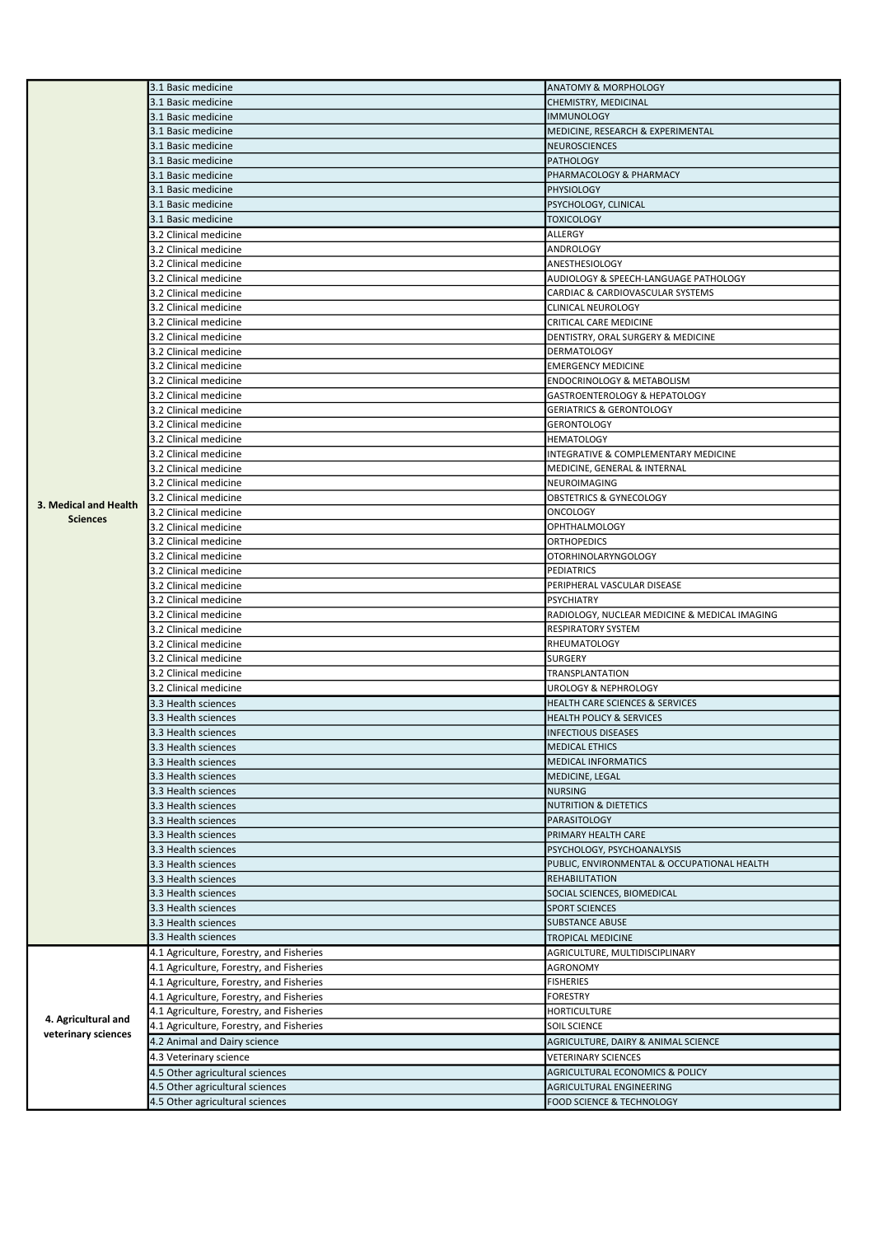|                       | 3.1 Basic medicine                                                 | <b>ANATOMY &amp; MORPHOLOGY</b>                       |
|-----------------------|--------------------------------------------------------------------|-------------------------------------------------------|
|                       | 3.1 Basic medicine                                                 | CHEMISTRY, MEDICINAL                                  |
|                       | 3.1 Basic medicine                                                 | <b>IMMUNOLOGY</b>                                     |
|                       | 3.1 Basic medicine                                                 | MEDICINE, RESEARCH & EXPERIMENTAL                     |
|                       | 3.1 Basic medicine                                                 | <b>NEUROSCIENCES</b>                                  |
|                       | 3.1 Basic medicine                                                 | <b>PATHOLOGY</b>                                      |
|                       | 3.1 Basic medicine                                                 | PHARMACOLOGY & PHARMACY                               |
|                       | 3.1 Basic medicine                                                 | <b>PHYSIOLOGY</b>                                     |
|                       | 3.1 Basic medicine                                                 | PSYCHOLOGY, CLINICAL                                  |
|                       | 3.1 Basic medicine                                                 | TOXICOLOGY                                            |
|                       | 3.2 Clinical medicine                                              | ALLERGY                                               |
|                       | 3.2 Clinical medicine                                              | ANDROLOGY                                             |
|                       | 3.2 Clinical medicine                                              | ANESTHESIOLOGY                                        |
|                       | 3.2 Clinical medicine                                              | AUDIOLOGY & SPEECH-LANGUAGE PATHOLOGY                 |
|                       | 3.2 Clinical medicine                                              | CARDIAC & CARDIOVASCULAR SYSTEMS                      |
|                       | 3.2 Clinical medicine                                              | <b>CLINICAL NEUROLOGY</b>                             |
|                       | 3.2 Clinical medicine                                              | CRITICAL CARE MEDICINE                                |
|                       | 3.2 Clinical medicine                                              | DENTISTRY, ORAL SURGERY & MEDICINE                    |
|                       | 3.2 Clinical medicine                                              | DERMATOLOGY                                           |
|                       | 3.2 Clinical medicine                                              | <b>EMERGENCY MEDICINE</b>                             |
|                       | 3.2 Clinical medicine                                              | ENDOCRINOLOGY & METABOLISM                            |
|                       | 3.2 Clinical medicine                                              | GASTROENTEROLOGY & HEPATOLOGY                         |
|                       | 3.2 Clinical medicine                                              | <b>GERIATRICS &amp; GERONTOLOGY</b>                   |
|                       | 3.2 Clinical medicine                                              | <b>GERONTOLOGY</b>                                    |
|                       | 3.2 Clinical medicine                                              | HEMATOLOGY                                            |
|                       | 3.2 Clinical medicine                                              | INTEGRATIVE & COMPLEMENTARY MEDICINE                  |
|                       | 3.2 Clinical medicine                                              | MEDICINE, GENERAL & INTERNAL                          |
|                       | 3.2 Clinical medicine                                              | NEUROIMAGING                                          |
|                       | 3.2 Clinical medicine                                              | OBSTETRICS & GYNECOLOGY                               |
| 3. Medical and Health | 3.2 Clinical medicine                                              | ONCOLOGY                                              |
| <b>Sciences</b>       | 3.2 Clinical medicine                                              | OPHTHALMOLOGY                                         |
|                       | 3.2 Clinical medicine                                              | <b>ORTHOPEDICS</b>                                    |
|                       | 3.2 Clinical medicine                                              | <b>OTORHINOLARYNGOLOGY</b>                            |
|                       | 3.2 Clinical medicine                                              | PEDIATRICS                                            |
|                       | 3.2 Clinical medicine                                              | PERIPHERAL VASCULAR DISEASE                           |
|                       | 3.2 Clinical medicine                                              | PSYCHIATRY                                            |
|                       | 3.2 Clinical medicine                                              | RADIOLOGY, NUCLEAR MEDICINE & MEDICAL IMAGING         |
|                       | 3.2 Clinical medicine                                              | RESPIRATORY SYSTEM                                    |
|                       | 3.2 Clinical medicine                                              | <b>RHEUMATOLOGY</b>                                   |
|                       | 3.2 Clinical medicine                                              | SURGERY                                               |
|                       | 3.2 Clinical medicine                                              | TRANSPLANTATION                                       |
|                       | 3.2 Clinical medicine                                              | <b>UROLOGY &amp; NEPHROLOGY</b>                       |
|                       |                                                                    |                                                       |
|                       | 3.3 Health sciences                                                | HEALTH CARE SCIENCES & SERVICES                       |
|                       | 3.3 Health sciences                                                | <b>HEALTH POLICY &amp; SERVICES</b>                   |
|                       | 3.3 Health sciences                                                | <b>INFECTIOUS DISEASES</b>                            |
|                       | 3.3 Health sciences                                                | <b>MEDICAL ETHICS</b>                                 |
|                       | 3.3 Health sciences                                                | <b>MEDICAL INFORMATICS</b>                            |
|                       | 3.3 Health sciences                                                | MEDICINE, LEGAL                                       |
|                       | 3.3 Health sciences                                                | <b>NURSING</b>                                        |
|                       | 3.3 Health sciences                                                | <b>NUTRITION &amp; DIETETICS</b>                      |
|                       | 3.3 Health sciences                                                | PARASITOLOGY                                          |
|                       | 3.3 Health sciences                                                | PRIMARY HEALTH CARE                                   |
|                       | 3.3 Health sciences                                                | PSYCHOLOGY, PSYCHOANALYSIS                            |
|                       | 3.3 Health sciences                                                | PUBLIC, ENVIRONMENTAL & OCCUPATIONAL HEALTH           |
|                       | 3.3 Health sciences                                                | REHABILITATION                                        |
|                       | 3.3 Health sciences                                                | SOCIAL SCIENCES, BIOMEDICAL                           |
|                       | 3.3 Health sciences                                                | <b>SPORT SCIENCES</b>                                 |
|                       | 3.3 Health sciences                                                | <b>SUBSTANCE ABUSE</b>                                |
|                       | 3.3 Health sciences                                                | TROPICAL MEDICINE                                     |
|                       | 4.1 Agriculture, Forestry, and Fisheries                           | AGRICULTURE, MULTIDISCIPLINARY                        |
|                       | 4.1 Agriculture, Forestry, and Fisheries                           | AGRONOMY                                              |
|                       | 4.1 Agriculture, Forestry, and Fisheries                           | <b>FISHERIES</b>                                      |
|                       | 4.1 Agriculture, Forestry, and Fisheries                           | <b>FORESTRY</b>                                       |
| 4. Agricultural and   | 4.1 Agriculture, Forestry, and Fisheries                           | HORTICULTURE                                          |
| veterinary sciences   | 4.1 Agriculture, Forestry, and Fisheries                           | SOIL SCIENCE                                          |
|                       | 4.2 Animal and Dairy science                                       | AGRICULTURE, DAIRY & ANIMAL SCIENCE                   |
|                       | 4.3 Veterinary science                                             | VETERINARY SCIENCES                                   |
|                       | 4.5 Other agricultural sciences                                    | AGRICULTURAL ECONOMICS & POLICY                       |
|                       | 4.5 Other agricultural sciences<br>4.5 Other agricultural sciences | AGRICULTURAL ENGINEERING<br>FOOD SCIENCE & TECHNOLOGY |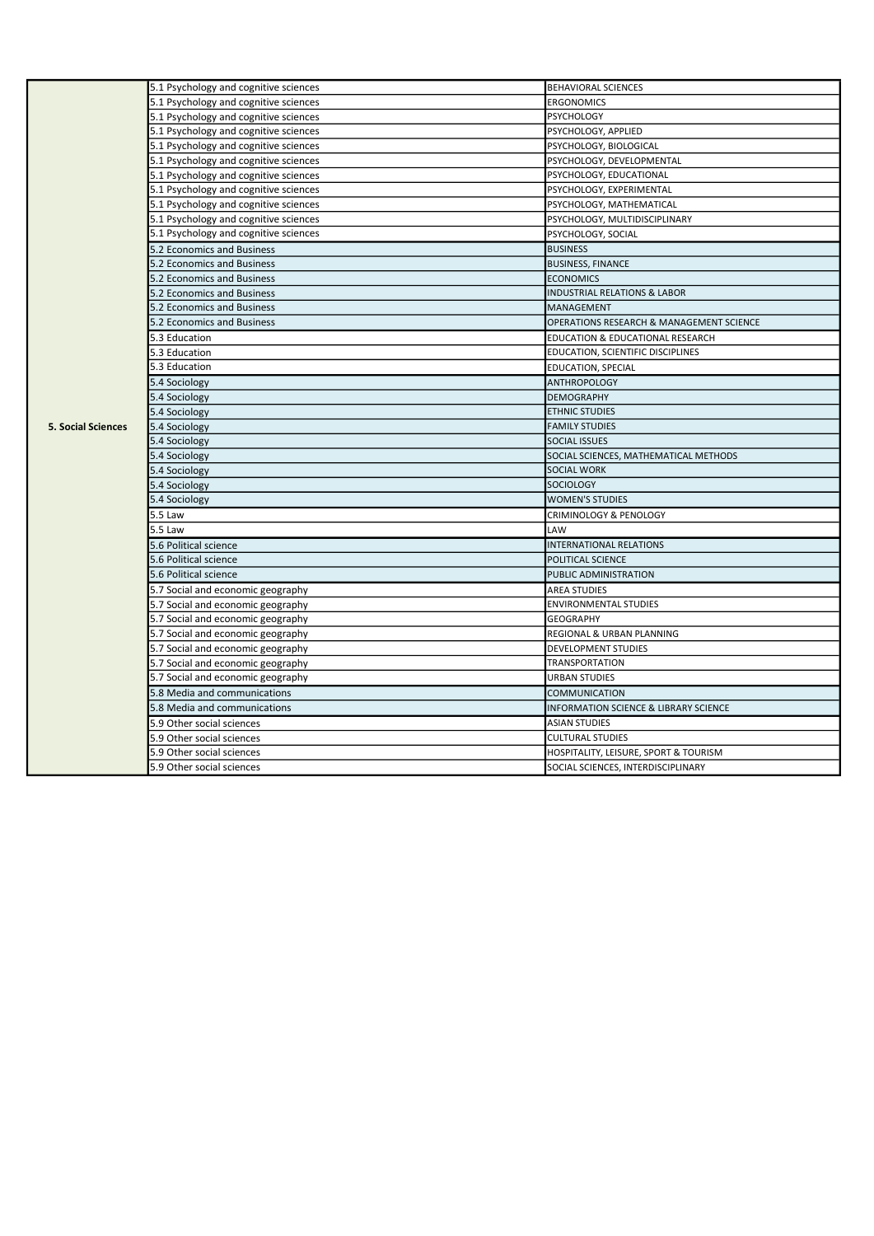|                           | 5.1 Psychology and cognitive sciences | <b>BEHAVIORAL SCIENCES</b>                       |
|---------------------------|---------------------------------------|--------------------------------------------------|
|                           | 5.1 Psychology and cognitive sciences | <b>ERGONOMICS</b>                                |
|                           | 5.1 Psychology and cognitive sciences | <b>PSYCHOLOGY</b>                                |
|                           | 5.1 Psychology and cognitive sciences | PSYCHOLOGY, APPLIED                              |
|                           | 5.1 Psychology and cognitive sciences | PSYCHOLOGY, BIOLOGICAL                           |
|                           | 5.1 Psychology and cognitive sciences | PSYCHOLOGY, DEVELOPMENTAL                        |
|                           | 5.1 Psychology and cognitive sciences | PSYCHOLOGY, EDUCATIONAL                          |
|                           | 5.1 Psychology and cognitive sciences | PSYCHOLOGY, EXPERIMENTAL                         |
|                           | 5.1 Psychology and cognitive sciences | PSYCHOLOGY, MATHEMATICAL                         |
|                           | 5.1 Psychology and cognitive sciences | PSYCHOLOGY, MULTIDISCIPLINARY                    |
|                           | 5.1 Psychology and cognitive sciences | PSYCHOLOGY, SOCIAL                               |
|                           | 5.2 Economics and Business            | <b>BUSINESS</b>                                  |
|                           | 5.2 Economics and Business            | <b>BUSINESS, FINANCE</b>                         |
|                           | 5.2 Economics and Business            | <b>ECONOMICS</b>                                 |
|                           | 5.2 Economics and Business            | <b>INDUSTRIAL RELATIONS &amp; LABOR</b>          |
|                           | 5.2 Economics and Business            | MANAGEMENT                                       |
|                           | 5.2 Economics and Business            | OPERATIONS RESEARCH & MANAGEMENT SCIENCE         |
|                           | 5.3 Education                         | EDUCATION & EDUCATIONAL RESEARCH                 |
|                           | 5.3 Education                         | EDUCATION, SCIENTIFIC DISCIPLINES                |
|                           | 5.3 Education                         | EDUCATION, SPECIAL                               |
|                           | 5.4 Sociology                         | <b>ANTHROPOLOGY</b>                              |
|                           | 5.4 Sociology                         | <b>DEMOGRAPHY</b>                                |
|                           | 5.4 Sociology                         | <b>ETHNIC STUDIES</b>                            |
| <b>5. Social Sciences</b> | 5.4 Sociology                         | <b>FAMILY STUDIES</b>                            |
|                           | 5.4 Sociology                         | <b>SOCIAL ISSUES</b>                             |
|                           | 5.4 Sociology                         | SOCIAL SCIENCES, MATHEMATICAL METHODS            |
|                           | 5.4 Sociology                         | <b>SOCIAL WORK</b>                               |
|                           | 5.4 Sociology                         | <b>SOCIOLOGY</b>                                 |
|                           | 5.4 Sociology                         | <b>WOMEN'S STUDIES</b>                           |
|                           | 5.5 Law                               | CRIMINOLOGY & PENOLOGY                           |
|                           | 5.5 Law                               | LAW                                              |
|                           | 5.6 Political science                 | <b>INTERNATIONAL RELATIONS</b>                   |
|                           | 5.6 Political science                 | POLITICAL SCIENCE                                |
|                           | 5.6 Political science                 | PUBLIC ADMINISTRATION                            |
|                           | 5.7 Social and economic geography     | <b>AREA STUDIES</b>                              |
|                           | 5.7 Social and economic geography     | <b>ENVIRONMENTAL STUDIES</b>                     |
|                           | 5.7 Social and economic geography     | <b>GEOGRAPHY</b>                                 |
|                           | 5.7 Social and economic geography     | REGIONAL & URBAN PLANNING                        |
|                           | 5.7 Social and economic geography     | <b>DEVELOPMENT STUDIES</b>                       |
|                           | 5.7 Social and economic geography     | TRANSPORTATION                                   |
|                           | 5.7 Social and economic geography     | <b>URBAN STUDIES</b>                             |
|                           | 5.8 Media and communications          | <b>COMMUNICATION</b>                             |
|                           | 5.8 Media and communications          | <b>INFORMATION SCIENCE &amp; LIBRARY SCIENCE</b> |
|                           | 5.9 Other social sciences             | <b>ASIAN STUDIES</b>                             |
|                           | 5.9 Other social sciences             | <b>CULTURAL STUDIES</b>                          |
|                           | 5.9 Other social sciences             | HOSPITALITY, LEISURE, SPORT & TOURISM            |
|                           | 5.9 Other social sciences             | SOCIAL SCIENCES, INTERDISCIPLINARY               |